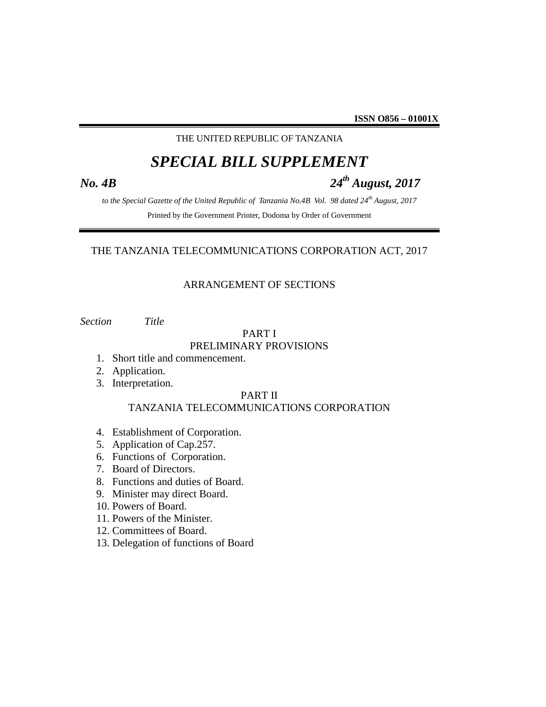# THE UNITED REPUBLIC OF TANZANIA

# *SPECIAL BILL SUPPLEMENT*

# *No. 4B 24th August, 2017*

*to the Special Gazette of the United Republic of Tanzania No.4B Vol. 98 dated 24th August, 2017* Printed by the Government Printer, Dodoma by Order of Government

# THE TANZANIA TELECOMMUNICATIONS CORPORATION ACT, 2017

# ARRANGEMENT OF SECTIONS

*Section Title*

#### PART I PRELIMINARY PROVISIONS

- 1. Short title and commencement.
- 2. Application.
- 3. Interpretation.

#### PART II

# TANZANIA TELECOMMUNICATIONS CORPORATION

- 4. Establishment of Corporation.
- 5. Application of Cap.257.
- 6. Functions of Corporation.
- 7. Board of Directors.
- 8. Functions and duties of Board.
- 9. Minister may direct Board.
- 10. Powers of Board.
- 11. Powers of the Minister.
- 12. Committees of Board.
- 13. Delegation of functions of Board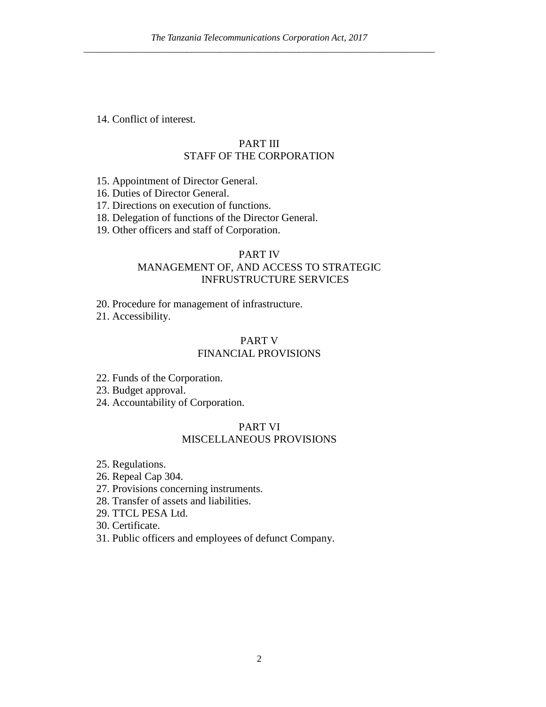14. Conflict of interest.

# PART III STAFF OF THE CORPORATION

- 15. Appointment of Director General.
- 16. Duties of Director General.
- 17. Directions on execution of functions.
- 18. Delegation of functions of the Director General.
- 19. Other officers and staff of Corporation.

# PART IV MANAGEMENT OF, AND ACCESS TO STRATEGIC INFRUSTRUCTURE SERVICES

20. Procedure for management of infrastructure.

21. Accessibility.

# PART V FINANCIAL PROVISIONS

- 22. Funds of the Corporation.
- 23. Budget approval.
- 24. Accountability of Corporation.

# PART VI MISCELLANEOUS PROVISIONS

- 25. Regulations.
- 26. Repeal Cap 304.
- 27. Provisions concerning instruments.
- 28. Transfer of assets and liabilities.
- 29. TTCL PESA Ltd.
- 30. Certificate.
- 31. Public officers and employees of defunct Company.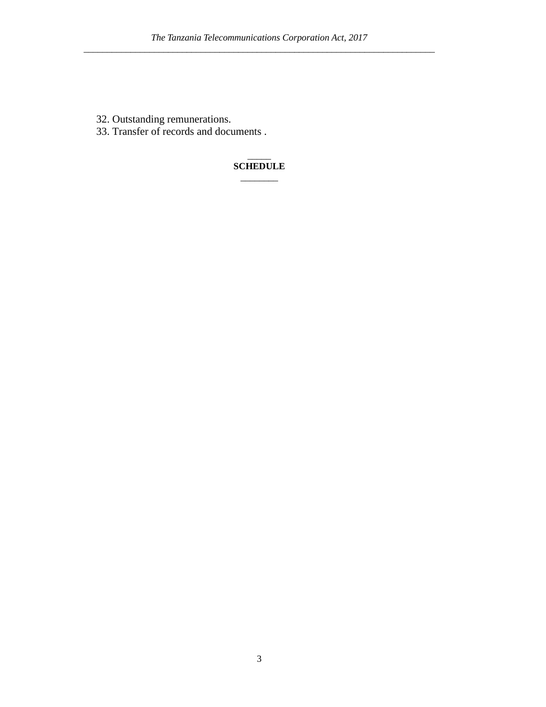- 32. Outstanding remunerations.
- 33. Transfer of records and documents .

#### $\overline{\phantom{a}}$ **SCHEDULE**

\_\_\_\_\_\_\_\_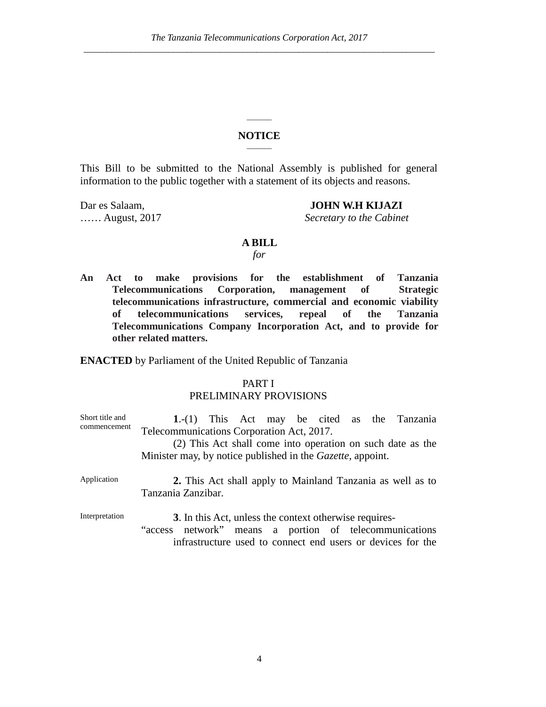#### **NOTICE**  $\overline{\phantom{a}}$

 $\overline{\phantom{a}}$ 

This Bill to be submitted to the National Assembly is published for general information to the public together with a statement of its objects and reasons.

## Dar es Salaam, **JOHN W.H KIJAZI**

…… August, 2017 *Secretary to the Cabinet*

#### **A BILL**

# *for*

**An Act to make provisions for the establishment of Tanzania Telecommunications Corporation, management of Strategic telecommunications infrastructure, commercial and economic viability of telecommunications services, repeal of the Tanzania Telecommunications Company Incorporation Act, and to provide for other related matters.**

**ENACTED** by Parliament of the United Republic of Tanzania

# PART I PRELIMINARY PROVISIONS

| Short title and<br>commencement | $1-(1)$ This Act may be cited as the Tanzania<br>Telecommunications Corporation Act, 2017. |
|---------------------------------|--------------------------------------------------------------------------------------------|
|                                 | (2) This Act shall come into operation on such date as the                                 |
|                                 | Minister may, by notice published in the <i>Gazette</i> , appoint.                         |
| Application                     | 2. This Act shall apply to Mainland Tanzania as well as to<br>Tanzania Zanzibar.           |
| Interpretation                  | 3. In this Act, unless the context otherwise requires-                                     |
|                                 | "access network" means a portion of telecommunications                                     |
|                                 | infrastructure used to connect end users or devices for the                                |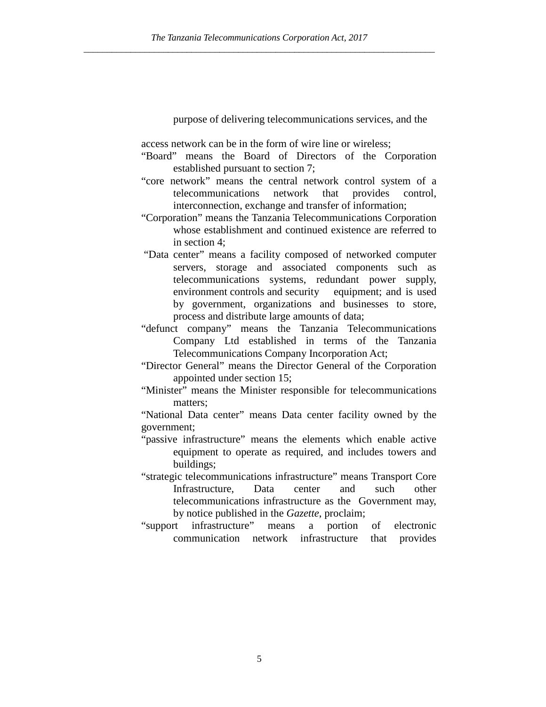purpose of delivering telecommunications services, and the

access network can be in the form of wire line or wireless;

- "Board" means the Board of Directors of the Corporation established pursuant to section 7;
- "core network" means the central network control system of a telecommunications network that provides control, interconnection, exchange and transfer of information;
- "Corporation" means the Tanzania Telecommunications Corporation whose establishment and continued existence are referred to in section 4;
- "Data center" means a facility composed of networked computer servers, storage and associated components such as telecommunications systems, redundant power supply, environment controls and security equipment; and is used by government, organizations and businesses to store, process and distribute large amounts of data;
- "defunct company" means the Tanzania Telecommunications Company Ltd established in terms of the Tanzania Telecommunications Company Incorporation Act;
- "Director General" means the Director General of the Corporation appointed under section 15;
- "Minister" means the Minister responsible for telecommunications matters;

"National Data center" means Data center facility owned by the government;

- "passive infrastructure" means the elements which enable active equipment to operate as required, and includes towers and buildings;
- "strategic telecommunications infrastructure" means Transport Core Infrastructure, Data center and such other telecommunications infrastructure as the Government may, by notice published in the *Gazette*, proclaim;
- "support infrastructure" means a portion of electronic communication network infrastructure that provides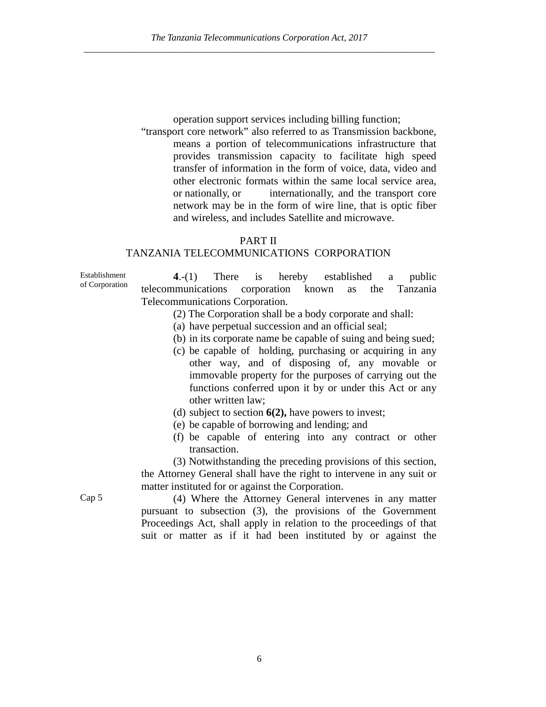operation support services including billing function;

"transport core network" also referred to as Transmission backbone, means a portion of telecommunications infrastructure that provides transmission capacity to facilitate high speed transfer of information in the form of voice, data, video and other electronic formats within the same local service area, or nationally, or internationally, and the transport core network may be in the form of wire line, that is optic fiber and wireless, and includes Satellite and microwave.

#### PART II

### TANZANIA TELECOMMUNICATIONS CORPORATION

Establishment of Corporation **4**.-(1) There is hereby established a public telecommunications corporation known as the Tanzania Telecommunications Corporation.

- (2) The Corporation shall be a body corporate and shall:
- (a) have perpetual succession and an official seal;
- (b) in its corporate name be capable of suing and being sued;
- (c) be capable of holding, purchasing or acquiring in any other way, and of disposing of, any movable or immovable property for the purposes of carrying out the functions conferred upon it by or under this Act or any other written law;
- (d) subject to section **6(2),** have powers to invest;
- (e) be capable of borrowing and lending; and
- (f) be capable of entering into any contract or other transaction.

(3) Notwithstanding the preceding provisions of this section, the Attorney General shall have the right to intervene in any suit or matter instituted for or against the Corporation.

Cap 5 (4) Where the Attorney General intervenes in any matter pursuant to subsection (3), the provisions of the Government Proceedings Act, shall apply in relation to the proceedings of that suit or matter as if it had been instituted by or against the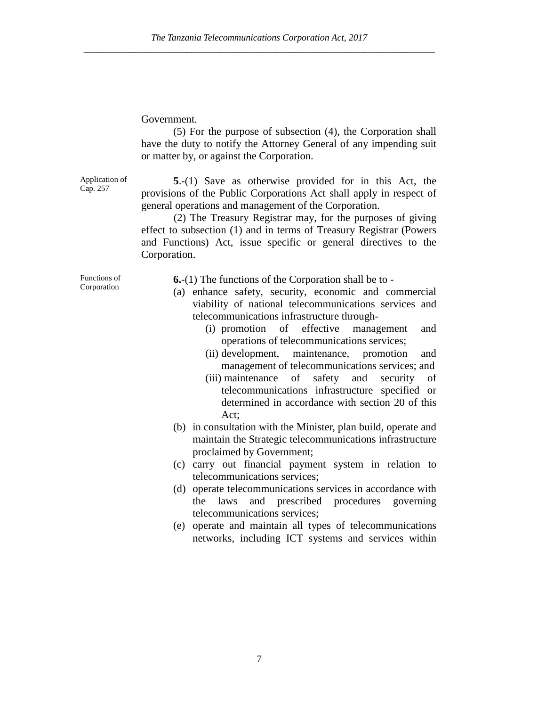# Government.

(5) For the purpose of subsection (4), the Corporation shall have the duty to notify the Attorney General of any impending suit or matter by, or against the Corporation.

Application of Cap. 257

**5**.-(1) Save as otherwise provided for in this Act, the provisions of the Public Corporations Act shall apply in respect of general operations and management of the Corporation.

(2) The Treasury Registrar may, for the purposes of giving effect to subsection (1) and in terms of Treasury Registrar (Powers and Functions) Act, issue specific or general directives to the Corporation.

Functions of Corporation

- **6.**-(1) The functions of the Corporation shall be to -
- (a) enhance safety, security, economic and commercial viability of national telecommunications services and telecommunications infrastructure through-
	- (i) promotion of effective management and operations of telecommunications services;
	- (ii) development, maintenance, promotion and management of telecommunications services; and
	- (iii) maintenance of safety and security of telecommunications infrastructure specified or determined in accordance with section 20 of this Act;
- (b) in consultation with the Minister, plan build, operate and maintain the Strategic telecommunications infrastructure proclaimed by Government;
- (c) carry out financial payment system in relation to telecommunications services;
- (d) operate telecommunications services in accordance with the laws and prescribed procedures governing telecommunications services;
- (e) operate and maintain all types of telecommunications networks, including ICT systems and services within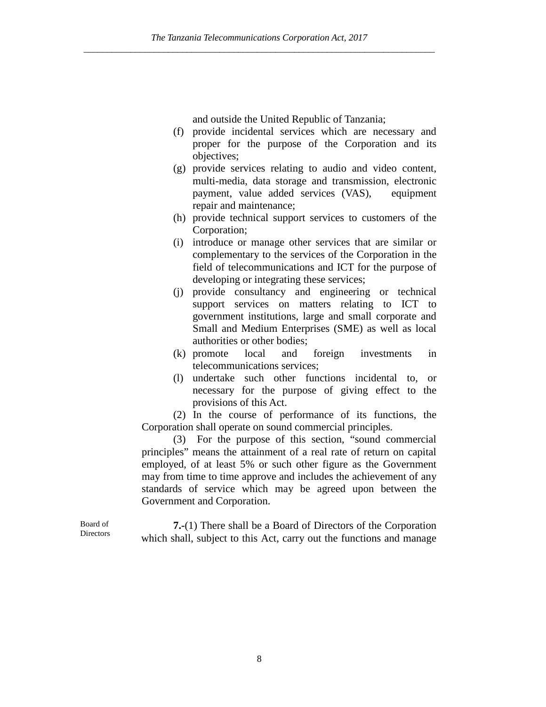and outside the United Republic of Tanzania;

- (f) provide incidental services which are necessary and proper for the purpose of the Corporation and its objectives;
- (g) provide services relating to audio and video content, multi-media, data storage and transmission, electronic payment, value added services (VAS), equipment repair and maintenance;
- (h) provide technical support services to customers of the Corporation;
- (i) introduce or manage other services that are similar or complementary to the services of the Corporation in the field of telecommunications and ICT for the purpose of developing or integrating these services;
- (j) provide consultancy and engineering or technical support services on matters relating to ICT to government institutions, large and small corporate and Small and Medium Enterprises (SME) as well as local authorities or other bodies;
- (k) promote local and foreign investments in telecommunications services;
- (l) undertake such other functions incidental to, or necessary for the purpose of giving effect to the provisions of this Act.

(2) In the course of performance of its functions, the Corporation shall operate on sound commercial principles.

(3) For the purpose of this section, "sound commercial principles" means the attainment of a real rate of return on capital employed, of at least 5% or such other figure as the Government may from time to time approve and includes the achievement of any standards of service which may be agreed upon between the Government and Corporation.

**7.-**(1) There shall be a Board of Directors of the Corporation which shall, subject to this Act, carry out the functions and manage

Board of **Directors**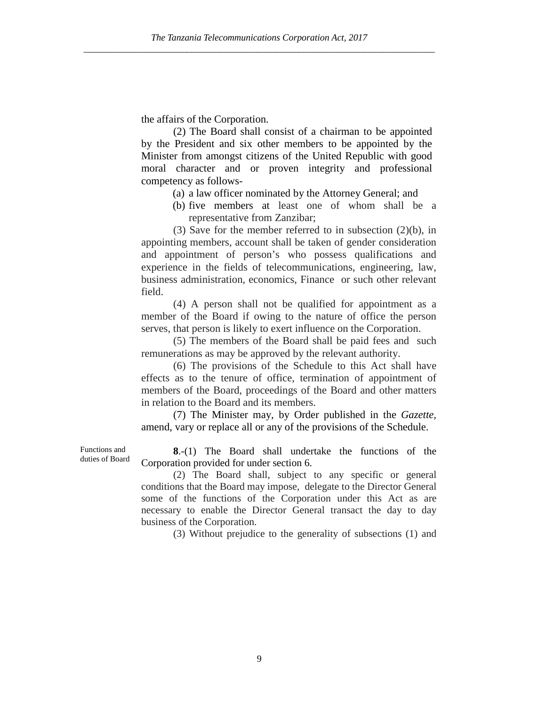the affairs of the Corporation.

(2) The Board shall consist of a chairman to be appointed by the President and six other members to be appointed by the Minister from amongst citizens of the United Republic with good moral character and or proven integrity and professional competency as follows-

- (a) a law officer nominated by the Attorney General; and
- (b) five members at least one of whom shall be a representative from Zanzibar;

(3) Save for the member referred to in subsection (2)(b), in appointing members, account shall be taken of gender consideration and appointment of person's who possess qualifications and experience in the fields of telecommunications, engineering, law, business administration, economics, Finance or such other relevant field.

(4) A person shall not be qualified for appointment as a member of the Board if owing to the nature of office the person serves, that person is likely to exert influence on the Corporation.

(5) The members of the Board shall be paid fees and such remunerations as may be approved by the relevant authority.

(6) The provisions of the Schedule to this Act shall have effects as to the tenure of office, termination of appointment of members of the Board, proceedings of the Board and other matters in relation to the Board and its members.

(7) The Minister may, by Order published in the *Gazette,* amend, vary or replace all or any of the provisions of the Schedule.

**8**.-(1) The Board shall undertake the functions of the Corporation provided for under section 6.

(2) The Board shall, subject to any specific or general conditions that the Board may impose, delegate to the Director General some of the functions of the Corporation under this Act as are necessary to enable the Director General transact the day to day business of the Corporation.

(3) Without prejudice to the generality of subsections (1) and

Functions and duties of Board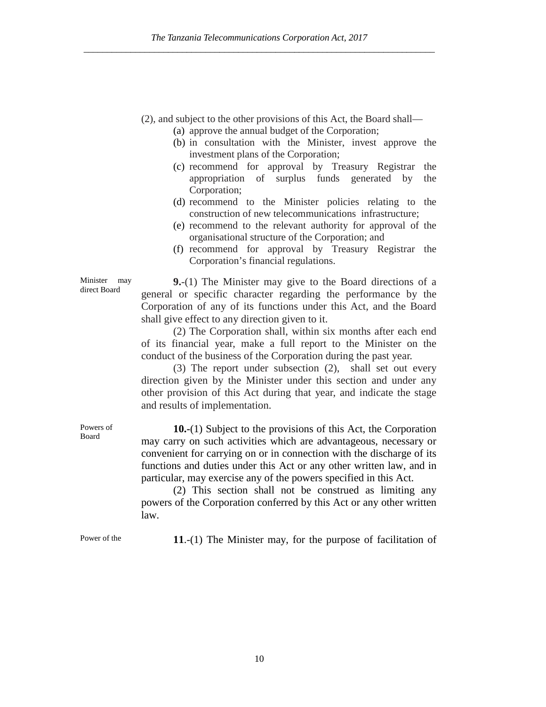(2), and subject to the other provisions of this Act, the Board shall—

- (a) approve the annual budget of the Corporation;
- (b) in consultation with the Minister, invest approve the investment plans of the Corporation;
- (c) recommend for approval by Treasury Registrar the appropriation of surplus funds generated by the Corporation;
- (d) recommend to the Minister policies relating to the construction of new telecommunications infrastructure;
- (e) recommend to the relevant authority for approval of the organisational structure of the Corporation; and
- (f) recommend for approval by Treasury Registrar the Corporation's financial regulations.

**9.**-(1) The Minister may give to the Board directions of a general or specific character regarding the performance by the Corporation of any of its functions under this Act, and the Board shall give effect to any direction given to it.

(2) The Corporation shall, within six months after each end of its financial year, make a full report to the Minister on the conduct of the business of the Corporation during the past year.

(3) The report under subsection (2), shall set out every direction given by the Minister under this section and under any other provision of this Act during that year, and indicate the stage and results of implementation.

**10.-**(1) Subject to the provisions of this Act, the Corporation may carry on such activities which are advantageous, necessary or convenient for carrying on or in connection with the discharge of its functions and duties under this Act or any other written law, and in particular, may exercise any of the powers specified in this Act.

(2) This section shall not be construed as limiting any powers of the Corporation conferred by this Act or any other written law.

Power of the **11.-(1)** The Minister may, for the purpose of facilitation of

Minister may direct Board

Powers of Board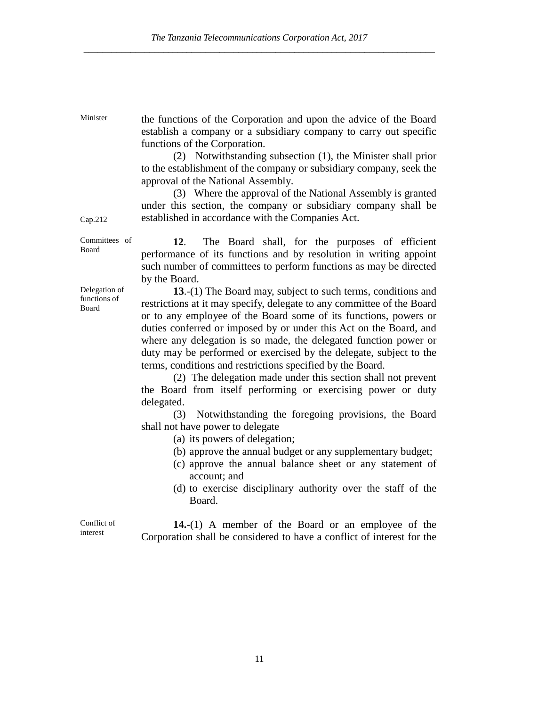Minister the functions of the Corporation and upon the advice of the Board establish a company or a subsidiary company to carry out specific functions of the Corporation.

(2) Notwithstanding subsection (1), the Minister shall prior to the establishment of the company or subsidiary company, seek the approval of the National Assembly.

(3) Where the approval of the National Assembly is granted under this section, the company or subsidiary company shall be established in accordance with the Companies Act.

Committees of Board **12**. The Board shall, for the purposes of efficient performance of its functions and by resolution in writing appoint such number of committees to perform functions as may be directed by the Board.

> **13**.-(1) The Board may, subject to such terms, conditions and restrictions at it may specify, delegate to any committee of the Board or to any employee of the Board some of its functions, powers or duties conferred or imposed by or under this Act on the Board, and where any delegation is so made, the delegated function power or duty may be performed or exercised by the delegate, subject to the terms, conditions and restrictions specified by the Board.

> (2) The delegation made under this section shall not prevent the Board from itself performing or exercising power or duty delegated.

> (3) Notwithstanding the foregoing provisions, the Board shall not have power to delegate

> > (a) its powers of delegation;

- (b) approve the annual budget or any supplementary budget;
- (c) approve the annual balance sheet or any statement of account; and
- (d) to exercise disciplinary authority over the staff of the Board.

Conflict of interest

**14.**-(1) A member of the Board or an employee of the Corporation shall be considered to have a conflict of interest for the

Cap.212

Delegation of functions of Board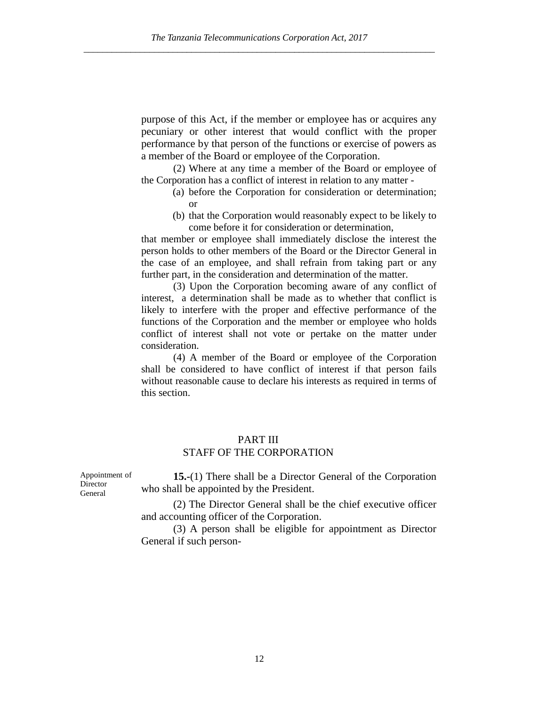purpose of this Act, if the member or employee has or acquires any pecuniary or other interest that would conflict with the proper performance by that person of the functions or exercise of powers as a member of the Board or employee of the Corporation.

(2) Where at any time a member of the Board or employee of the Corporation has a conflict of interest in relation to any matter -

- (a) before the Corporation for consideration or determination; or
- (b) that the Corporation would reasonably expect to be likely to come before it for consideration or determination,

that member or employee shall immediately disclose the interest the person holds to other members of the Board or the Director General in the case of an employee, and shall refrain from taking part or any further part, in the consideration and determination of the matter.

(3) Upon the Corporation becoming aware of any conflict of interest, a determination shall be made as to whether that conflict is likely to interfere with the proper and effective performance of the functions of the Corporation and the member or employee who holds conflict of interest shall not vote or pertake on the matter under consideration.

(4) A member of the Board or employee of the Corporation shall be considered to have conflict of interest if that person fails without reasonable cause to declare his interests as required in terms of this section.

# PART III STAFF OF THE CORPORATION

Appointment of **Director** General

**15.-**(1) There shall be a Director General of the Corporation who shall be appointed by the President.

(2) The Director General shall be the chief executive officer and accounting officer of the Corporation.

(3) A person shall be eligible for appointment as Director General if such person-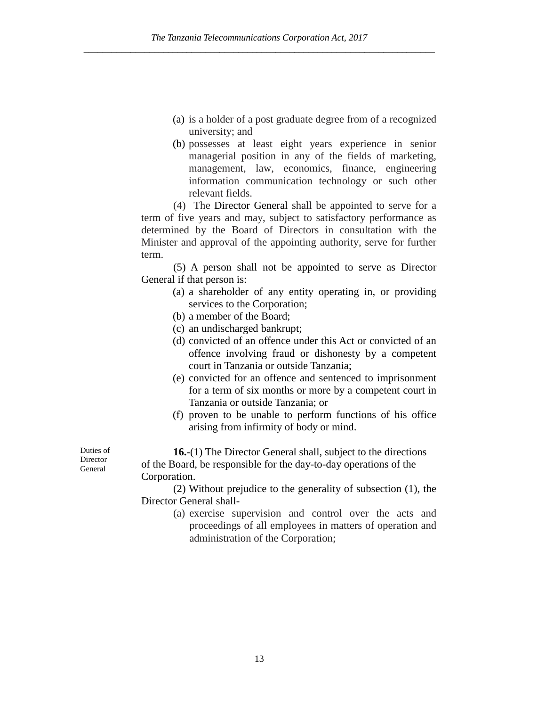- (a) is a holder of a post graduate degree from of a recognized university; and
- (b) possesses at least eight years experience in senior managerial position in any of the fields of marketing, management, law, economics, finance, engineering information communication technology or such other relevant fields.

(4) The Director General shall be appointed to serve for a term of five years and may, subject to satisfactory performance as determined by the Board of Directors in consultation with the Minister and approval of the appointing authority, serve for further term.

(5) A person shall not be appointed to serve as Director General if that person is:

- (a) a shareholder of any entity operating in, or providing services to the Corporation;
- (b) a member of the Board;
- (c) an undischarged bankrupt;
- (d) convicted of an offence under this Act or convicted of an offence involving fraud or dishonesty by a competent court in Tanzania or outside Tanzania;
- (e) convicted for an offence and sentenced to imprisonment for a term of six months or more by a competent court in Tanzania or outside Tanzania; or
- (f) proven to be unable to perform functions of his office arising from infirmity of body or mind.

**16.**-(1) The Director General shall, subject to the directions of the Board, be responsible for the day-to-day operations of the Corporation.

(2) Without prejudice to the generality of subsection (1), the Director General shall-

> (a) exercise supervision and control over the acts and proceedings of all employees in matters of operation and administration of the Corporation;

Duties of **Director** General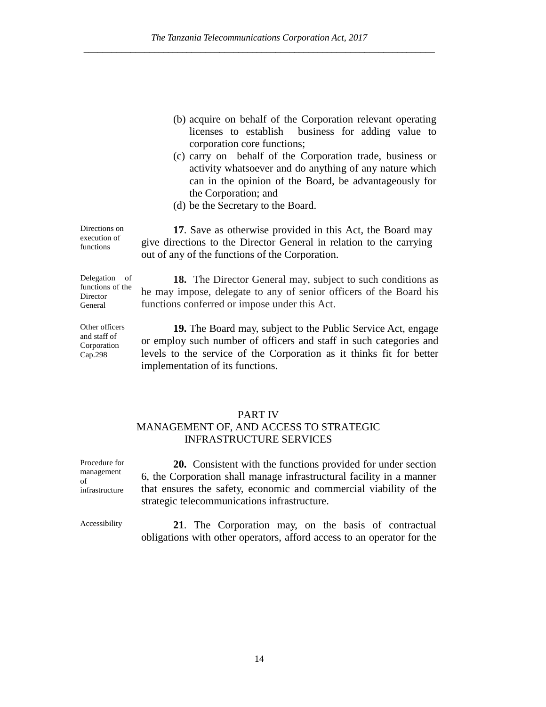- (b) acquire on behalf of the Corporation relevant operating licenses to establish business for adding value to corporation core functions;
- (c) carry on behalf of the Corporation trade, business or activity whatsoever and do anything of any nature which can in the opinion of the Board, be advantageously for the Corporation; and
- (d) be the Secretary to the Board.

**17**. Save as otherwise provided in this Act, the Board may give directions to the Director General in relation to the carrying out of any of the functions of the Corporation.

**18.** The Director General may, subject to such conditions as he may impose, delegate to any of senior officers of the Board his functions conferred or impose under this Act.

**19.** The Board may, subject to the Public Service Act, engage or employ such number of officers and staff in such categories and levels to the service of the Corporation as it thinks fit for better implementation of its functions.

# PART IV

# MANAGEMENT OF, AND ACCESS TO STRATEGIC INFRASTRUCTURE SERVICES

**20.** Consistent with the functions provided for under section 6, the Corporation shall manage infrastructural facility in a manner that ensures the safety, economic and commercial viability of the strategic telecommunications infrastructure.

Procedure for management

infrastructure

of

Accessibility **21**. The Corporation may, on the basis of contractual obligations with other operators, afford access to an operator for the

Directions on execution of functions

Delegation of functions of the Director General

Other officers and staff of Corporation Cap.298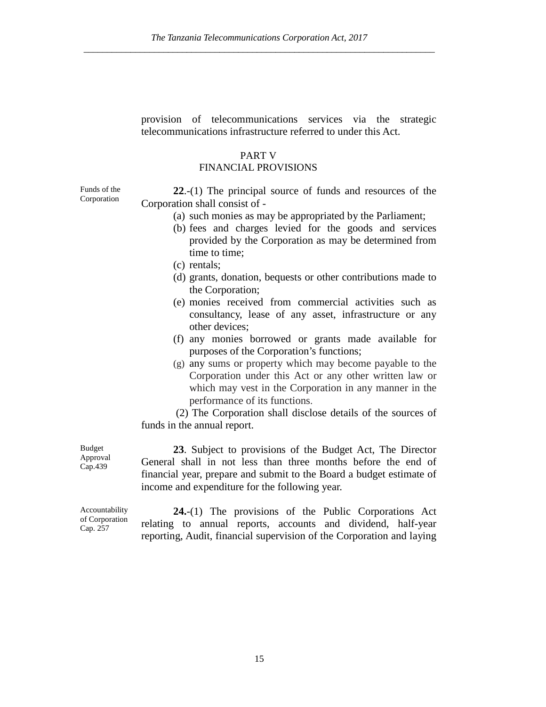provision of telecommunications services via the strategic telecommunications infrastructure referred to under this Act.

# PART V

# FINANCIAL PROVISIONS

Funds of the Corporation

**22**.-(1) The principal source of funds and resources of the Corporation shall consist of -

- (a) such monies as may be appropriated by the Parliament;
- (b) fees and charges levied for the goods and services provided by the Corporation as may be determined from time to time;
- (c) rentals;
- (d) grants, donation, bequests or other contributions made to the Corporation;
- (e) monies received from commercial activities such as consultancy, lease of any asset, infrastructure or any other devices;
- (f) any monies borrowed or grants made available for purposes of the Corporation's functions;
- (g) any sums or property which may become payable to the Corporation under this Act or any other written law or which may vest in the Corporation in any manner in the performance of its functions.

(2) The Corporation shall disclose details of the sources of funds in the annual report.

Budget Approval Cap.439

**23**. Subject to provisions of the Budget Act, The Director General shall in not less than three months before the end of financial year, prepare and submit to the Board a budget estimate of income and expenditure for the following year.

Accountability of Corporation Cap. 257

**24.**-(1) The provisions of the Public Corporations Act relating to annual reports, accounts and dividend, half-year reporting, Audit, financial supervision of the Corporation and laying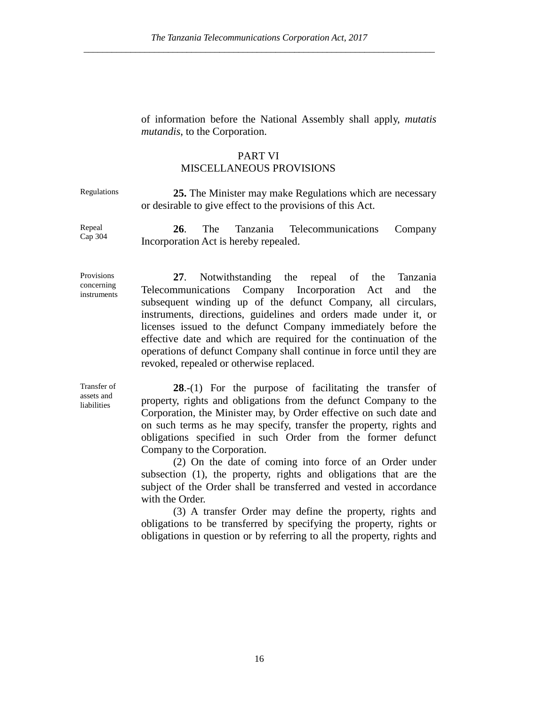of information before the National Assembly shall apply, *mutatis mutandis*, to the Corporation.

# PART VI

# MISCELLANEOUS PROVISIONS

Regulations **25.** The Minister may make Regulations which are necessary or desirable to give effect to the provisions of this Act.

Repeal Cap 304

**26**. The Tanzania Telecommunications Company Incorporation Act is hereby repealed.

Provisions concerning instruments

**27**. Notwithstanding the repeal of the Tanzania Telecommunications Company Incorporation Act and the subsequent winding up of the defunct Company, all circulars, instruments, directions, guidelines and orders made under it, or licenses issued to the defunct Company immediately before the effective date and which are required for the continuation of the operations of defunct Company shall continue in force until they are revoked, repealed or otherwise replaced.

Transfer of assets and liabilities

**28**.-(1) For the purpose of facilitating the transfer of property, rights and obligations from the defunct Company to the Corporation, the Minister may, by Order effective on such date and on such terms as he may specify, transfer the property, rights and obligations specified in such Order from the former defunct Company to the Corporation.

(2) On the date of coming into force of an Order under subsection (1), the property, rights and obligations that are the subject of the Order shall be transferred and vested in accordance with the Order.

(3) A transfer Order may define the property, rights and obligations to be transferred by specifying the property, rights or obligations in question or by referring to all the property, rights and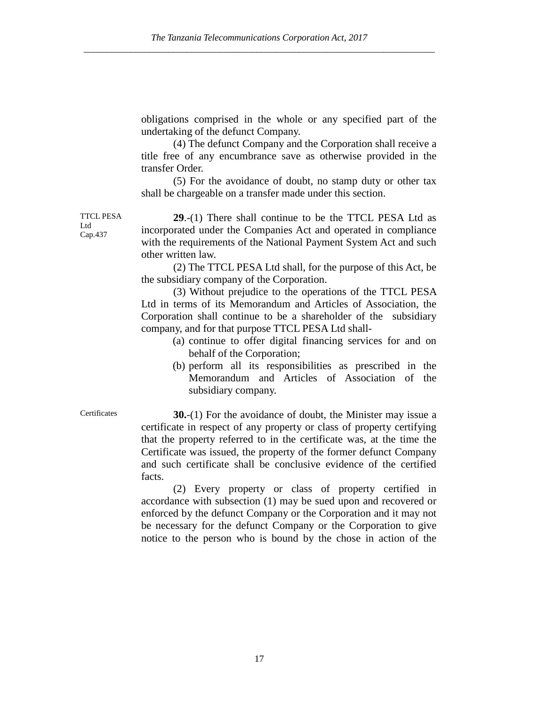obligations comprised in the whole or any specified part of the undertaking of the defunct Company.

(4) The defunct Company and the Corporation shall receive a title free of any encumbrance save as otherwise provided in the transfer Order.

(5) For the avoidance of doubt, no stamp duty or other tax shall be chargeable on a transfer made under this section.

TTCL PESA Ltd Cap.437 **29**.-(1) There shall continue to be the TTCL PESA Ltd as incorporated under the Companies Act and operated in compliance with the requirements of the National Payment System Act and such other written law.

> (2) The TTCL PESA Ltd shall, for the purpose of this Act, be the subsidiary company of the Corporation.

> (3) Without prejudice to the operations of the TTCL PESA Ltd in terms of its Memorandum and Articles of Association, the Corporation shall continue to be a shareholder of the subsidiary company, and for that purpose TTCL PESA Ltd shall-

- (a) continue to offer digital financing services for and on behalf of the Corporation;
- (b) perform all its responsibilities as prescribed in the Memorandum and Articles of Association of the subsidiary company.

Certificates **30.**-(1) For the avoidance of doubt, the Minister may issue a certificate in respect of any property or class of property certifying that the property referred to in the certificate was, at the time the Certificate was issued, the property of the former defunct Company and such certificate shall be conclusive evidence of the certified facts.

> (2) Every property or class of property certified in accordance with subsection (1) may be sued upon and recovered or enforced by the defunct Company or the Corporation and it may not be necessary for the defunct Company or the Corporation to give notice to the person who is bound by the chose in action of the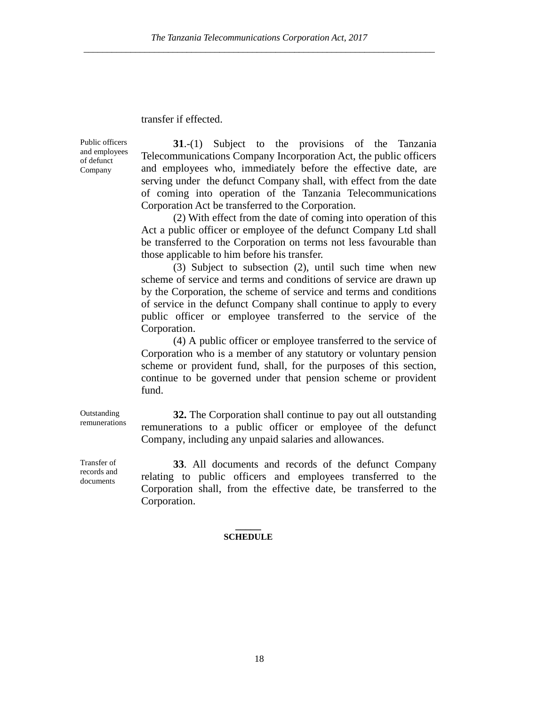# transfer if effected.

Public officers and employees of defunct Company

**31**.-(1) Subject to the provisions of the Tanzania Telecommunications Company Incorporation Act, the public officers and employees who, immediately before the effective date, are serving under the defunct Company shall, with effect from the date of coming into operation of the Tanzania Telecommunications Corporation Act be transferred to the Corporation.

(2) With effect from the date of coming into operation of this Act a public officer or employee of the defunct Company Ltd shall be transferred to the Corporation on terms not less favourable than those applicable to him before his transfer.

(3) Subject to subsection (2), until such time when new scheme of service and terms and conditions of service are drawn up by the Corporation, the scheme of service and terms and conditions of service in the defunct Company shall continue to apply to every public officer or employee transferred to the service of the Corporation.

(4) A public officer or employee transferred to the service of Corporation who is a member of any statutory or voluntary pension scheme or provident fund, shall, for the purposes of this section, continue to be governed under that pension scheme or provident fund.

**32.** The Corporation shall continue to pay out all outstanding remunerations to a public officer or employee of the defunct Company, including any unpaid salaries and allowances.

**33**. All documents and records of the defunct Company relating to public officers and employees transferred to the Corporation shall, from the effective date, be transferred to the Corporation.

#### **\_\_\_\_\_ SCHEDULE**

Transfer of records and

documents

**Outstanding** remunerations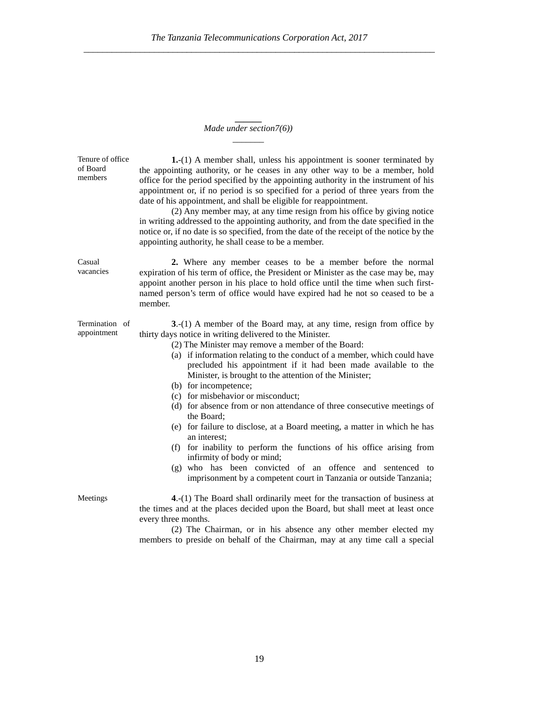#### **\_\_\_\_\_\_** *Made under section7(6)) \_\_\_\_\_\_\_*

| Tenure of office<br>of Board<br>members | 1.-(1) A member shall, unless his appointment is sooner terminated by<br>the appointing authority, or he ceases in any other way to be a member, hold<br>office for the period specified by the appointing authority in the instrument of his<br>appointment or, if no period is so specified for a period of three years from the<br>date of his appointment, and shall be eligible for reappointment.<br>(2) Any member may, at any time resign from his office by giving notice<br>in writing addressed to the appointing authority, and from the date specified in the<br>notice or, if no date is so specified, from the date of the receipt of the notice by the<br>appointing authority, he shall cease to be a member.                                                                                                                                                                   |
|-----------------------------------------|--------------------------------------------------------------------------------------------------------------------------------------------------------------------------------------------------------------------------------------------------------------------------------------------------------------------------------------------------------------------------------------------------------------------------------------------------------------------------------------------------------------------------------------------------------------------------------------------------------------------------------------------------------------------------------------------------------------------------------------------------------------------------------------------------------------------------------------------------------------------------------------------------|
| Casual<br>vacancies                     | 2. Where any member ceases to be a member before the normal<br>expiration of his term of office, the President or Minister as the case may be, may<br>appoint another person in his place to hold office until the time when such first-<br>named person's term of office would have expired had he not so ceased to be a<br>member.                                                                                                                                                                                                                                                                                                                                                                                                                                                                                                                                                             |
| Termination of<br>appointment           | 3.-(1) A member of the Board may, at any time, resign from office by<br>thirty days notice in writing delivered to the Minister.<br>(2) The Minister may remove a member of the Board:<br>(a) if information relating to the conduct of a member, which could have<br>precluded his appointment if it had been made available to the<br>Minister, is brought to the attention of the Minister;<br>(b) for incompetence;<br>(c) for misbehavior or misconduct;<br>(d) for absence from or non attendance of three consecutive meetings of<br>the Board;<br>(e) for failure to disclose, at a Board meeting, a matter in which he has<br>an interest;<br>for inability to perform the functions of his office arising from<br>(f)<br>infirmity of body or mind;<br>(g) who has been convicted of an offence and sentenced to<br>imprisonment by a competent court in Tanzania or outside Tanzania; |
| Meetings                                | 4.-(1) The Board shall ordinarily meet for the transaction of business at<br>the times and at the places decided upon the Board, but shall meet at least once<br>every three months.                                                                                                                                                                                                                                                                                                                                                                                                                                                                                                                                                                                                                                                                                                             |

(2) The Chairman, or in his absence any other member elected my members to preside on behalf of the Chairman, may at any time call a special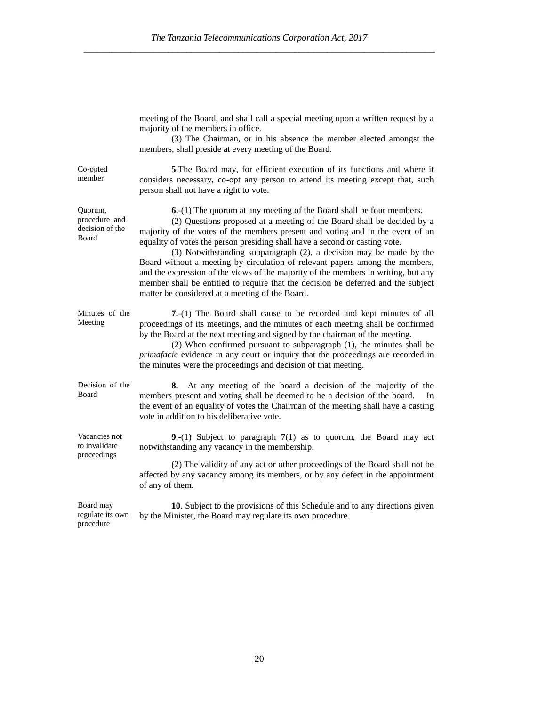|                                                      | meeting of the Board, and shall call a special meeting upon a written request by a<br>majority of the members in office.<br>(3) The Chairman, or in his absence the member elected amongst the<br>members, shall preside at every meeting of the Board.                                                                                                                                                                                                                                                                                                                                                                                                                                                      |
|------------------------------------------------------|--------------------------------------------------------------------------------------------------------------------------------------------------------------------------------------------------------------------------------------------------------------------------------------------------------------------------------------------------------------------------------------------------------------------------------------------------------------------------------------------------------------------------------------------------------------------------------------------------------------------------------------------------------------------------------------------------------------|
| Co-opted<br>member                                   | 5. The Board may, for efficient execution of its functions and where it<br>considers necessary, co-opt any person to attend its meeting except that, such<br>person shall not have a right to vote.                                                                                                                                                                                                                                                                                                                                                                                                                                                                                                          |
| Quorum,<br>procedure and<br>decision of the<br>Board | <b>6.</b> -(1) The quorum at any meeting of the Board shall be four members.<br>(2) Questions proposed at a meeting of the Board shall be decided by a<br>majority of the votes of the members present and voting and in the event of an<br>equality of votes the person presiding shall have a second or casting vote.<br>(3) Notwithstanding subparagraph (2), a decision may be made by the<br>Board without a meeting by circulation of relevant papers among the members,<br>and the expression of the views of the majority of the members in writing, but any<br>member shall be entitled to require that the decision be deferred and the subject<br>matter be considered at a meeting of the Board. |
| Minutes of the<br>Meeting                            | 7.-(1) The Board shall cause to be recorded and kept minutes of all<br>proceedings of its meetings, and the minutes of each meeting shall be confirmed<br>by the Board at the next meeting and signed by the chairman of the meeting.<br>(2) When confirmed pursuant to subparagraph (1), the minutes shall be<br>primafacie evidence in any court or inquiry that the proceedings are recorded in<br>the minutes were the proceedings and decision of that meeting.                                                                                                                                                                                                                                         |
| Decision of the<br>Board                             | 8. At any meeting of the board a decision of the majority of the<br>members present and voting shall be deemed to be a decision of the board.<br>In<br>the event of an equality of votes the Chairman of the meeting shall have a casting<br>vote in addition to his deliberative vote.                                                                                                                                                                                                                                                                                                                                                                                                                      |
| Vacancies not<br>to invalidate<br>proceedings        | 9.-(1) Subject to paragraph $7(1)$ as to quorum, the Board may act<br>notwithstanding any vacancy in the membership.                                                                                                                                                                                                                                                                                                                                                                                                                                                                                                                                                                                         |
|                                                      | (2) The validity of any act or other proceedings of the Board shall not be<br>affected by any vacancy among its members, or by any defect in the appointment<br>of any of them.                                                                                                                                                                                                                                                                                                                                                                                                                                                                                                                              |
| Board may<br>regulate its own<br>procedure           | 10. Subject to the provisions of this Schedule and to any directions given<br>by the Minister, the Board may regulate its own procedure.                                                                                                                                                                                                                                                                                                                                                                                                                                                                                                                                                                     |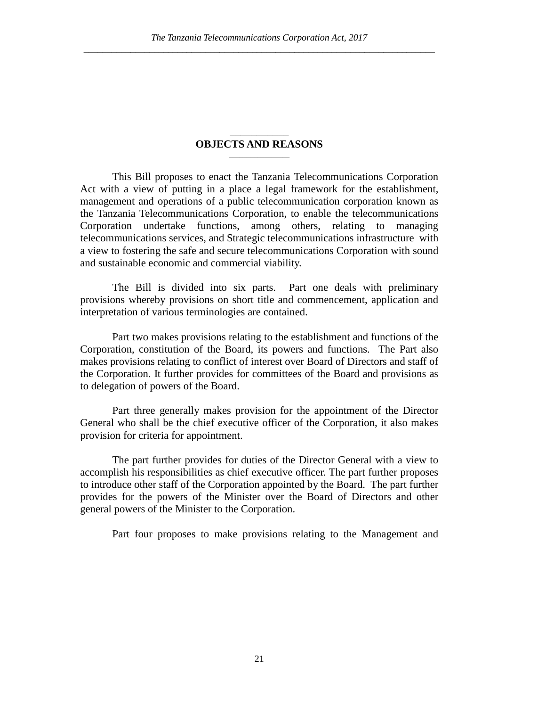#### \_\_\_\_\_\_\_\_\_\_\_ **OBJECTS AND REASONS** \_\_\_\_\_\_\_\_\_\_\_\_\_\_\_\_\_

This Bill proposes to enact the Tanzania Telecommunications Corporation Act with a view of putting in a place a legal framework for the establishment, management and operations of a public telecommunication corporation known as the Tanzania Telecommunications Corporation, to enable the telecommunications Corporation undertake functions, among others, relating to managing telecommunications services, and Strategic telecommunications infrastructure with a view to fostering the safe and secure telecommunications Corporation with sound and sustainable economic and commercial viability.

The Bill is divided into six parts. Part one deals with preliminary provisions whereby provisions on short title and commencement, application and interpretation of various terminologies are contained.

Part two makes provisions relating to the establishment and functions of the Corporation, constitution of the Board, its powers and functions. The Part also makes provisions relating to conflict of interest over Board of Directors and staff of the Corporation. It further provides for committees of the Board and provisions as to delegation of powers of the Board.

Part three generally makes provision for the appointment of the Director General who shall be the chief executive officer of the Corporation, it also makes provision for criteria for appointment.

The part further provides for duties of the Director General with a view to accomplish his responsibilities as chief executive officer. The part further proposes to introduce other staff of the Corporation appointed by the Board. The part further provides for the powers of the Minister over the Board of Directors and other general powers of the Minister to the Corporation.

Part four proposes to make provisions relating to the Management and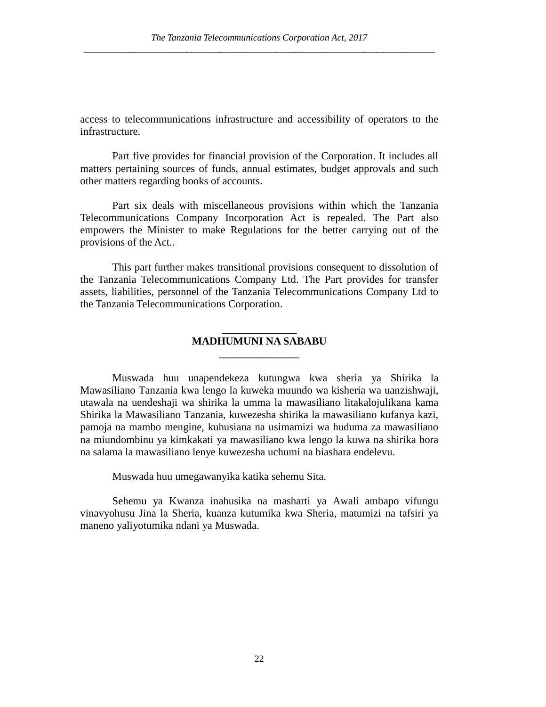access to telecommunications infrastructure and accessibility of operators to the infrastructure.

Part five provides for financial provision of the Corporation. It includes all matters pertaining sources of funds, annual estimates, budget approvals and such other matters regarding books of accounts.

Part six deals with miscellaneous provisions within which the Tanzania Telecommunications Company Incorporation Act is repealed. The Part also empowers the Minister to make Regulations for the better carrying out of the provisions of the Act..

This part further makes transitional provisions consequent to dissolution of the Tanzania Telecommunications Company Ltd. The Part provides for transfer assets, liabilities, personnel of the Tanzania Telecommunications Company Ltd to the Tanzania Telecommunications Corporation.

# **\_\_\_\_\_\_\_\_\_\_\_\_\_\_ MADHUMUNI NA SABABU \_\_\_\_\_\_\_\_\_\_\_\_\_\_\_**

Muswada huu unapendekeza kutungwa kwa sheria ya Shirika la Mawasiliano Tanzania kwa lengo la kuweka muundo wa kisheria wa uanzishwaji, utawala na uendeshaji wa shirika la umma la mawasiliano litakalojulikana kama Shirika la Mawasiliano Tanzania, kuwezesha shirika la mawasiliano kufanya kazi, pamoja na mambo mengine, kuhusiana na usimamizi wa huduma za mawasiliano na miundombinu ya kimkakati ya mawasiliano kwa lengo la kuwa na shirika bora na salama la mawasiliano lenye kuwezesha uchumi na biashara endelevu.

Muswada huu umegawanyika katika sehemu Sita.

Sehemu ya Kwanza inahusika na masharti ya Awali ambapo vifungu vinavyohusu Jina la Sheria, kuanza kutumika kwa Sheria, matumizi na tafsiri ya maneno yaliyotumika ndani ya Muswada.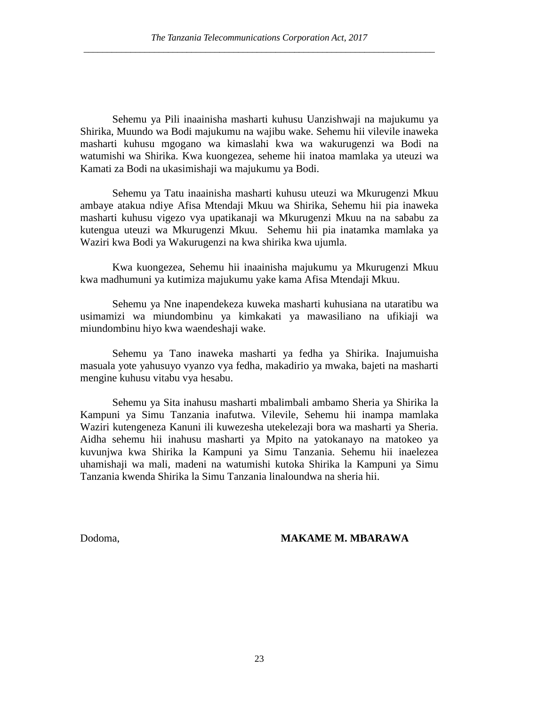Sehemu ya Pili inaainisha masharti kuhusu Uanzishwaji na majukumu ya Shirika, Muundo wa Bodi majukumu na wajibu wake. Sehemu hii vilevile inaweka masharti kuhusu mgogano wa kimaslahi kwa wa wakurugenzi wa Bodi na watumishi wa Shirika. Kwa kuongezea, seheme hii inatoa mamlaka ya uteuzi wa Kamati za Bodi na ukasimishaji wa majukumu ya Bodi.

Sehemu ya Tatu inaainisha masharti kuhusu uteuzi wa Mkurugenzi Mkuu ambaye atakua ndiye Afisa Mtendaji Mkuu wa Shirika, Sehemu hii pia inaweka masharti kuhusu vigezo vya upatikanaji wa Mkurugenzi Mkuu na na sababu za kutengua uteuzi wa Mkurugenzi Mkuu. Sehemu hii pia inatamka mamlaka ya Waziri kwa Bodi ya Wakurugenzi na kwa shirika kwa ujumla.

Kwa kuongezea, Sehemu hii inaainisha majukumu ya Mkurugenzi Mkuu kwa madhumuni ya kutimiza majukumu yake kama Afisa Mtendaji Mkuu.

Sehemu ya Nne inapendekeza kuweka masharti kuhusiana na utaratibu wa usimamizi wa miundombinu ya kimkakati ya mawasiliano na ufikiaji wa miundombinu hiyo kwa waendeshaji wake.

Sehemu ya Tano inaweka masharti ya fedha ya Shirika. Inajumuisha masuala yote yahusuyo vyanzo vya fedha, makadirio ya mwaka, bajeti na masharti mengine kuhusu vitabu vya hesabu.

Sehemu ya Sita inahusu masharti mbalimbali ambamo Sheria ya Shirika la Kampuni ya Simu Tanzania inafutwa. Vilevile, Sehemu hii inampa mamlaka Waziri kutengeneza Kanuni ili kuwezesha utekelezaji bora wa masharti ya Sheria. Aidha sehemu hii inahusu masharti ya Mpito na yatokanayo na matokeo ya kuvunjwa kwa Shirika la Kampuni ya Simu Tanzania. Sehemu hii inaelezea uhamishaji wa mali, madeni na watumishi kutoka Shirika la Kampuni ya Simu Tanzania kwenda Shirika la Simu Tanzania linaloundwa na sheria hii.

#### Dodoma, **MAKAME M. MBARAWA**